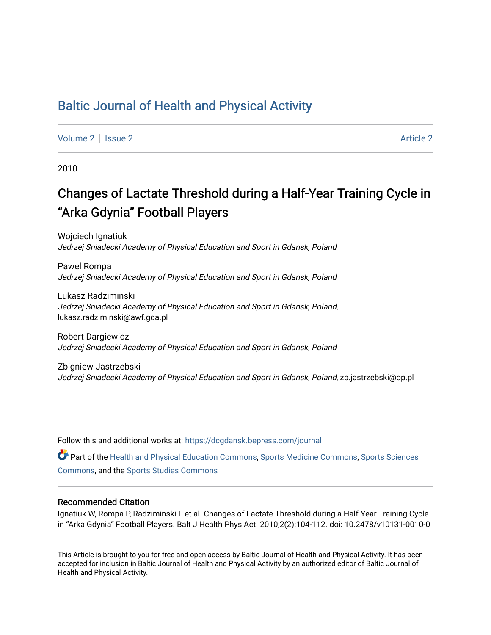# [Baltic Journal of Health and Physical Activity](https://dcgdansk.bepress.com/journal)

[Volume 2](https://dcgdansk.bepress.com/journal/vol2) | [Issue 2](https://dcgdansk.bepress.com/journal/vol2/iss2) Article 2

2010

# Changes of Lactate Threshold during a Half-Year Training Cycle in "Arka Gdynia" Football Players

Wojciech Ignatiuk Jedrzej Sniadecki Academy of Physical Education and Sport in Gdansk, Poland

Pawel Rompa Jedrzej Sniadecki Academy of Physical Education and Sport in Gdansk, Poland

Lukasz Radziminski Jedrzej Sniadecki Academy of Physical Education and Sport in Gdansk, Poland, lukasz.radziminski@awf.gda.pl

Robert Dargiewicz Jedrzej Sniadecki Academy of Physical Education and Sport in Gdansk, Poland

Zbigniew Jastrzebski Jedrzej Sniadecki Academy of Physical Education and Sport in Gdansk, Poland, zb.jastrzebski@op.pl

Follow this and additional works at: [https://dcgdansk.bepress.com/journal](https://dcgdansk.bepress.com/journal?utm_source=dcgdansk.bepress.com%2Fjournal%2Fvol2%2Fiss2%2F2&utm_medium=PDF&utm_campaign=PDFCoverPages)

Part of the [Health and Physical Education Commons](http://network.bepress.com/hgg/discipline/1327?utm_source=dcgdansk.bepress.com%2Fjournal%2Fvol2%2Fiss2%2F2&utm_medium=PDF&utm_campaign=PDFCoverPages), [Sports Medicine Commons,](http://network.bepress.com/hgg/discipline/1331?utm_source=dcgdansk.bepress.com%2Fjournal%2Fvol2%2Fiss2%2F2&utm_medium=PDF&utm_campaign=PDFCoverPages) [Sports Sciences](http://network.bepress.com/hgg/discipline/759?utm_source=dcgdansk.bepress.com%2Fjournal%2Fvol2%2Fiss2%2F2&utm_medium=PDF&utm_campaign=PDFCoverPages) [Commons](http://network.bepress.com/hgg/discipline/759?utm_source=dcgdansk.bepress.com%2Fjournal%2Fvol2%2Fiss2%2F2&utm_medium=PDF&utm_campaign=PDFCoverPages), and the [Sports Studies Commons](http://network.bepress.com/hgg/discipline/1198?utm_source=dcgdansk.bepress.com%2Fjournal%2Fvol2%2Fiss2%2F2&utm_medium=PDF&utm_campaign=PDFCoverPages) 

#### Recommended Citation

Ignatiuk W, Rompa P, Radziminski L et al. Changes of Lactate Threshold during a Half-Year Training Cycle in "Arka Gdynia" Football Players. Balt J Health Phys Act. 2010;2(2):104-112. doi: 10.2478/v10131-0010-0

This Article is brought to you for free and open access by Baltic Journal of Health and Physical Activity. It has been accepted for inclusion in Baltic Journal of Health and Physical Activity by an authorized editor of Baltic Journal of Health and Physical Activity.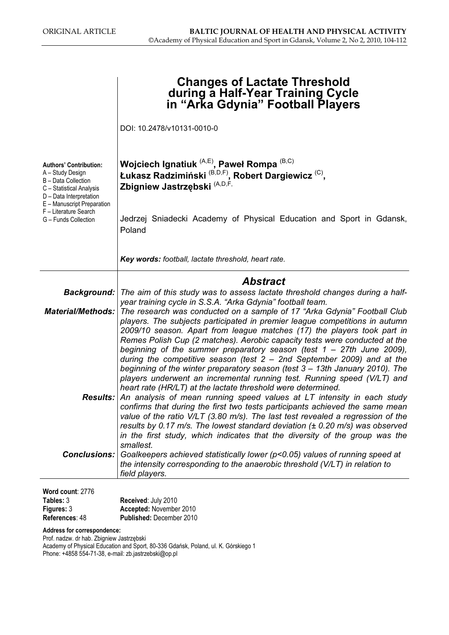|                                                                                                                                                               | <b>Changes of Lactate Threshold</b><br>during a Half-Year Training Cycle<br>in "Arka Gdynia" Football Players                                                                                                                                                                                                                                                                                                        |
|---------------------------------------------------------------------------------------------------------------------------------------------------------------|----------------------------------------------------------------------------------------------------------------------------------------------------------------------------------------------------------------------------------------------------------------------------------------------------------------------------------------------------------------------------------------------------------------------|
|                                                                                                                                                               | DOI: 10.2478/v10131-0010-0                                                                                                                                                                                                                                                                                                                                                                                           |
| <b>Authors' Contribution:</b><br>A - Study Design<br>B - Data Collection<br>C - Statistical Analysis<br>D - Data Interpretation<br>E - Manuscript Preparation | Wojciech Ignatiuk (A,E), Paweł Rompa (B,C)<br>Łukasz Radzimiński <sup>(B,D,F)</sup> , Robert Dargiewicz <sup>(C)</sup> ,<br>Zbigniew Jastrzębski (A,D,F,                                                                                                                                                                                                                                                             |
| F - Literature Search<br>G - Funds Collection                                                                                                                 | Jedrzej Sniadecki Academy of Physical Education and Sport in Gdansk,<br>Poland                                                                                                                                                                                                                                                                                                                                       |
|                                                                                                                                                               | Key words: football, lactate threshold, heart rate.                                                                                                                                                                                                                                                                                                                                                                  |
|                                                                                                                                                               | <b>Abstract</b>                                                                                                                                                                                                                                                                                                                                                                                                      |
| <b>Background:</b>                                                                                                                                            | The aim of this study was to assess lactate threshold changes during a half-                                                                                                                                                                                                                                                                                                                                         |
|                                                                                                                                                               | year training cycle in S.S.A. "Arka Gdynia" football team.<br><b>Material/Methods:</b> The research was conducted on a sample of 17 "Arka Gdynia" Football Club<br>players. The subjects participated in premier league competitions in autumn<br>2009/10 season. Apart from league matches (17) the players took part in<br>Remes Polish Cup (2 matches). Aerobic capacity tests were conducted at the              |
|                                                                                                                                                               | beginning of the summer preparatory season (test $1 - 27$ th June 2009),<br>during the competitive season (test $2 - 2nd$ September 2009) and at the<br>beginning of the winter preparatory season (test 3 - 13th January 2010). The<br>players underwent an incremental running test. Running speed (V/LT) and<br>heart rate (HR/LT) at the lactate threshold were determined.                                      |
|                                                                                                                                                               | Results: An analysis of mean running speed values at LT intensity in each study<br>confirms that during the first two tests participants achieved the same mean<br>value of the ratio $V/LT$ (3.80 m/s). The last test revealed a regression of the<br>results by 0.17 m/s. The lowest standard deviation $(± 0.20$ m/s) was observed<br>in the first study, which indicates that the diversity of the group was the |
|                                                                                                                                                               | smallest.<br><b>Conclusions:</b> Goalkeepers achieved statistically lower (p<0.05) values of running speed at<br>the intensity corresponding to the anaerobic threshold (V/LT) in relation to<br>field players.                                                                                                                                                                                                      |
| Word count: 2776                                                                                                                                              |                                                                                                                                                                                                                                                                                                                                                                                                                      |

| Tables: 3         | Received: July 2010             |  |  |  |
|-------------------|---------------------------------|--|--|--|
| <b>Figures: 3</b> | Accepted: November 2010         |  |  |  |
| References: 48    | <b>Published: December 2010</b> |  |  |  |

Address for correspondence:

Prof. nadzw. dr hab. Zbigniew Jastrzębski Academy of Physical Education and Sport, 80-336 Gdańsk, Poland, ul. K. Górskiego 1 Phone: +4858 554-71-38, e-mail: zb.jastrzebski@op.pl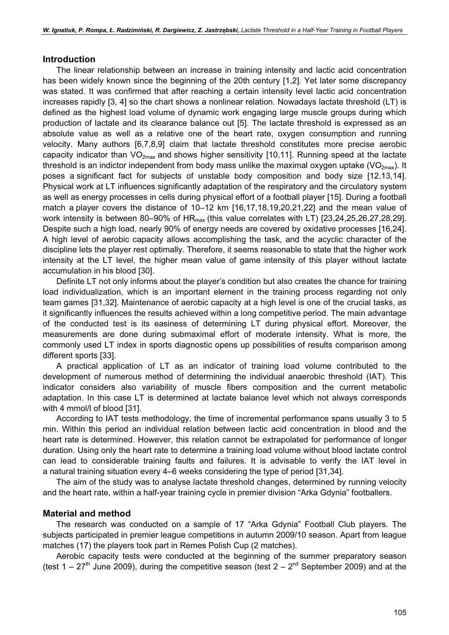#### Introduction

The linear relationship between an increase in training intensity and lactic acid concentration has been widely known since the beginning of the 20th century [1,2]. Yet later some discrepancy was stated. It was confirmed that after reaching a certain intensity level lactic acid concentration increases rapidly [3, 4] so the chart shows a nonlinear relation. Nowadays lactate threshold (LT) is defined as the highest load volume of dynamic work engaging large muscle groups during which production of lactate and its clearance balance out [5]. The lactate threshold is expressed as an absolute value as well as a relative one of the heart rate, oxygen consumption and running velocity. Many authors [6,7,8,9] claim that lactate threshold constitutes more precise aerobic capacity indicator than  $VO_{2max}$  and shows higher sensitivity [10,11]. Running speed at the lactate threshold is an indictor independent from body mass unlike the maximal oxygen uptake ( $VO<sub>2max</sub>$ ). It poses a significant fact for subjects of unstable body composition and body size [12,13,14]. Physical work at LT influences significantly adaptation of the respiratory and the circulatory system as well as energy processes in cells during physical effort of a football player [15]. During a football match a player covers the distance of 10–12 km [16,17,18,19,20,21,22] and the mean value of work intensity is between 80–90% of  $HR_{max}$  (this value correlates with LT) [23,24,25,26,27,28,29]. Despite such a high load, nearly 90% of energy needs are covered by oxidative processes [16,24]. A high level of aerobic capacity allows accomplishing the task, and the acyclic character of the discipline lets the player rest optimally. Therefore, it seems reasonable to state that the higher work intensity at the LT level, the higher mean value of game intensity of this player without lactate accumulation in his blood [30].

Definite LT not only informs about the player's condition but also creates the chance for training load individualization, which is an important element in the training process regarding not only team games [31,32]. Maintenance of aerobic capacity at a high level is one of the crucial tasks, as it significantly influences the results achieved within a long competitive period. The main advantage of the conducted test is its easiness of determining LT during physical effort. Moreover, the measurements are done during submaximal effort of moderate intensity. What is more, the commonly used LT index in sports diagnostic opens up possibilities of results comparison among different sports [33].

A practical application of LT as an indicator of training load volume contributed to the development of numerous method of determining the individual anaerobic threshold (IAT). This indicator considers also variability of muscle fibers composition and the current metabolic adaptation. In this case LT is determined at lactate balance level which not always corresponds with 4 mmol/l of blood [31].

According to IAT tests methodology, the time of incremental performance spans usually 3 to 5 min. Within this period an individual relation between lactic acid concentration in blood and the heart rate is determined. However, this relation cannot be extrapolated for performance of longer duration. Using only the heart rate to determine a training load volume without blood lactate control can lead to considerable training faults and failures. It is advisable to verify the IAT level in a natural training situation every 4–6 weeks considering the type of period [31,34].

The aim of the study was to analyse lactate threshold changes, determined by running velocity and the heart rate, within a half-year training cycle in premier division "Arka Gdynia" footballers.

#### Material and method

The research was conducted on a sample of 17 "Arka Gdynia" Football Club players. The subjects participated in premier league competitions in autumn 2009/10 season. Apart from league matches (17) the players took part in Remes Polish Cup (2 matches).

Aerobic capacity tests were conducted at the beginning of the summer preparatory season (test  $1 - 27$ <sup>th</sup> June 2009), during the competitive season (test  $2 - 2<sup>nd</sup>$  September 2009) and at the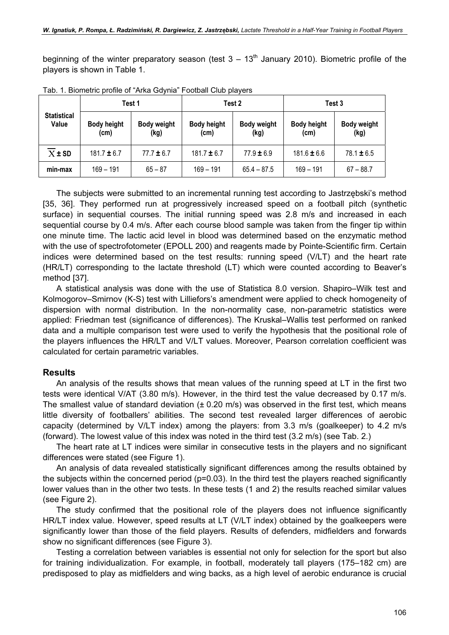beginning of the winter preparatory season (test  $3 - 13<sup>th</sup>$  January 2010). Biometric profile of the players is shown in Table 1.

| <b>Statistical</b><br>Value |                            | Test 1                     |                            | Test 2                     | Test 3                     |                            |
|-----------------------------|----------------------------|----------------------------|----------------------------|----------------------------|----------------------------|----------------------------|
|                             | <b>Body height</b><br>(cm) | <b>Body weight</b><br>(kg) | <b>Body height</b><br>(cm) | <b>Body weight</b><br>(kg) | <b>Body height</b><br>(cm) | <b>Body weight</b><br>(kg) |
| $\overline{X}$ ± SD         | $181.7 \pm 6.7$            | $77.7 \pm 6.7$             | $181.7 \pm 6.7$            | $77.9 \pm 6.9$             | $181.6 \pm 6.6$            | $78.1 \pm 6.5$             |
| min-max                     | $169 - 191$                | $65 - 87$                  | $169 - 191$                | $65.4 - 87.5$              | $169 - 191$                | $67 - 88.7$                |

Tab. 1. Biometric profile of "Arka Gdynia" Football Club players

The subjects were submitted to an incremental running test according to Jastrzębski's method [35, 36]. They performed run at progressively increased speed on a football pitch (synthetic surface) in sequential courses. The initial running speed was 2.8 m/s and increased in each sequential course by 0.4 m/s. After each course blood sample was taken from the finger tip within one minute time. The lactic acid level in blood was determined based on the enzymatic method with the use of spectrofotometer (EPOLL 200) and reagents made by Pointe-Scientific firm. Certain indices were determined based on the test results: running speed (V/LT) and the heart rate (HR/LT) corresponding to the lactate threshold (LT) which were counted according to Beaver's method [37].

A statistical analysis was done with the use of Statistica 8.0 version. Shapiro–Wilk test and Kolmogorov–Smirnov (K-S) test with Lilliefors's amendment were applied to check homogeneity of dispersion with normal distribution. In the non-normality case, non-parametric statistics were applied: Friedman test (significance of differences). The Kruskal–Wallis test performed on ranked data and a multiple comparison test were used to verify the hypothesis that the positional role of the players influences the HR/LT and V/LT values. Moreover, Pearson correlation coefficient was calculated for certain parametric variables.

#### Results

An analysis of the results shows that mean values of the running speed at LT in the first two tests were identical V/AT (3.80 m/s). However, in the third test the value decreased by 0.17 m/s. The smallest value of standard deviation  $(± 0.20$  m/s) was observed in the first test, which means little diversity of footballers' abilities. The second test revealed larger differences of aerobic capacity (determined by V/LT index) among the players: from 3.3 m/s (goalkeeper) to 4.2 m/s (forward). The lowest value of this index was noted in the third test (3.2 m/s) (see Tab. 2.)

The heart rate at LT indices were similar in consecutive tests in the players and no significant differences were stated (see Figure 1).

An analysis of data revealed statistically significant differences among the results obtained by the subjects within the concerned period  $(p=0.03)$ . In the third test the players reached significantly lower values than in the other two tests. In these tests (1 and 2) the results reached similar values (see Figure 2).

The study confirmed that the positional role of the players does not influence significantly HR/LT index value. However, speed results at LT (V/LT index) obtained by the goalkeepers were significantly lower than those of the field players. Results of defenders, midfielders and forwards show no significant differences (see Figure 3).

Testing a correlation between variables is essential not only for selection for the sport but also for training individualization. For example, in football, moderately tall players (175–182 cm) are predisposed to play as midfielders and wing backs, as a high level of aerobic endurance is crucial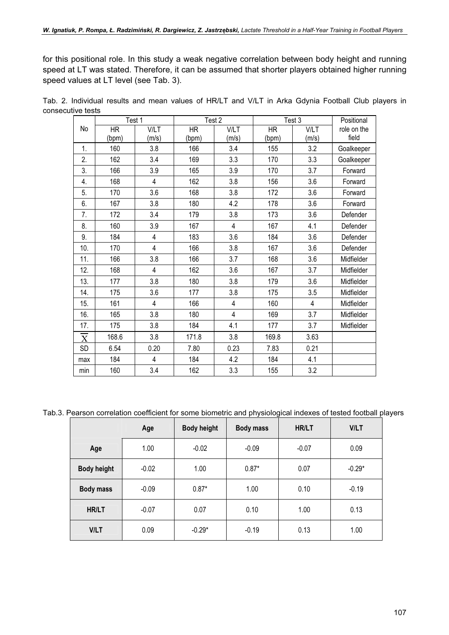for this positional role. In this study a weak negative correlation between body height and running speed at LT was stated. Therefore, it can be assumed that shorter players obtained higher running speed values at LT level (see Tab. 3).

|                       |           | Test 1         | Test 2 |                | Test 3    | Positional     |             |
|-----------------------|-----------|----------------|--------|----------------|-----------|----------------|-------------|
| No                    | <b>HR</b> | <b>V/LT</b>    | HR     | <b>V/LT</b>    | <b>HR</b> | <b>V/LT</b>    | role on the |
|                       | (bpm)     | (m/s           | (bpm)  | (m/s)          | (bpm)     | (m/s)          | field       |
| 1.                    | 160       | 3.8            | 166    | 3.4            | 155       | 3.2            | Goalkeeper  |
| 2.                    | 162       | 3.4            | 169    | 3.3            | 170       | 3.3            | Goalkeeper  |
| 3.                    | 166       | 3.9            | 165    | 3.9            | 170       | 3.7            | Forward     |
| 4.                    | 168       | 4              | 162    | 3.8            | 156       | 3.6            | Forward     |
| 5.                    | 170       | 3.6            | 168    | 3.8            | 172       | 3.6            | Forward     |
| 6.                    | 167       | 3.8            | 180    | 4.2            | 178       | 3.6            | Forward     |
| 7.                    | 172       | 3.4            | 179    | 3.8            | 173       | 3.6            | Defender    |
| 8.                    | 160       | 3.9            | 167    | $\overline{4}$ | 167       | 4.1            | Defender    |
| 9.                    | 184       | 4              | 183    | 3.6            | 184       | 3.6            | Defender    |
| 10.                   | 170       | 4              | 166    | 3.8            | 167       | 3.6            | Defender    |
| 11.                   | 166       | 3.8            | 166    | 3.7            | 168       | 3.6            | Midfielder  |
| 12.                   | 168       | 4              | 162    | 3.6            | 167       | 3.7            | Midfielder  |
| 13.                   | 177       | 3.8            | 180    | 3.8            | 179       | 3.6            | Midfielder  |
| 14.                   | 175       | 3.6            | 177    | 3.8            | 175       | 3.5            | Midfielder  |
| 15.                   | 161       | $\overline{4}$ | 166    | 4              | 160       | $\overline{4}$ | Midfielder  |
| 16.                   | 165       | 3.8            | 180    | 4              | 169       | 3.7            | Midfielder  |
| 17.                   | 175       | 3.8            | 184    | 4.1            | 177       | 3.7            | Midfielder  |
| $\overline{\text{X}}$ | 168.6     | 3.8            | 171.8  | 3.8            | 169.8     | 3.63           |             |
| SD                    | 6.54      | 0.20           | 7.80   | 0.23           | 7.83      | 0.21           |             |
| max                   | 184       | 4              | 184    | 4.2            | 184       | 4.1            |             |
| min                   | 160       | 3.4            | 162    | 3.3            | 155       | 3.2            |             |

Tab. 2. Individual results and mean values of HR/LT and V/LT in Arka Gdynia Football Club players in consecutive tests

Tab.3. Pearson correlation coefficient for some biometric and physiological indexes of tested football players

|                    | Age     | <b>Body height</b> | <b>Body mass</b> | <b>HR/LT</b> | <b>V/LT</b> |
|--------------------|---------|--------------------|------------------|--------------|-------------|
| Age                | 1.00    | $-0.02$            | $-0.09$          | $-0.07$      | 0.09        |
| <b>Body height</b> | $-0.02$ | 1.00               | $0.87*$          | 0.07         | $-0.29*$    |
| <b>Body mass</b>   | $-0.09$ | $0.87*$            | 1.00             | 0.10         | $-0.19$     |
| HR/LT              | $-0.07$ | 0.07               | 0.10             | 1.00         | 0.13        |
| <b>V/LT</b>        | 0.09    | $-0.29*$           | $-0.19$          | 0.13         | 1.00        |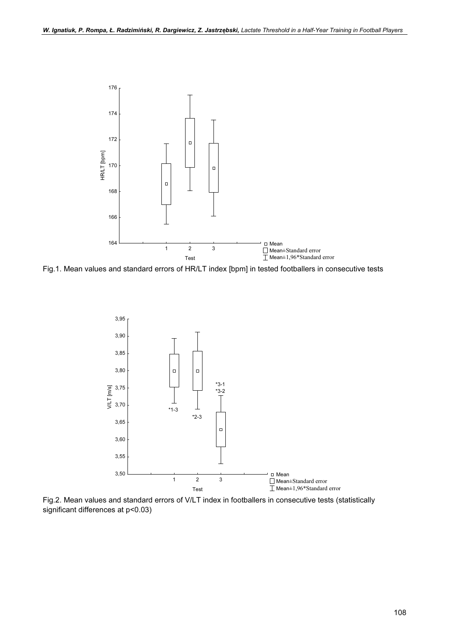

Fig.1. Mean values and standard errors of HR/LT index [bpm] in tested footballers in consecutive tests



Fig.2. Mean values and standard errors of V/LT index in footballers in consecutive tests (statistically significant differences at p<0.03)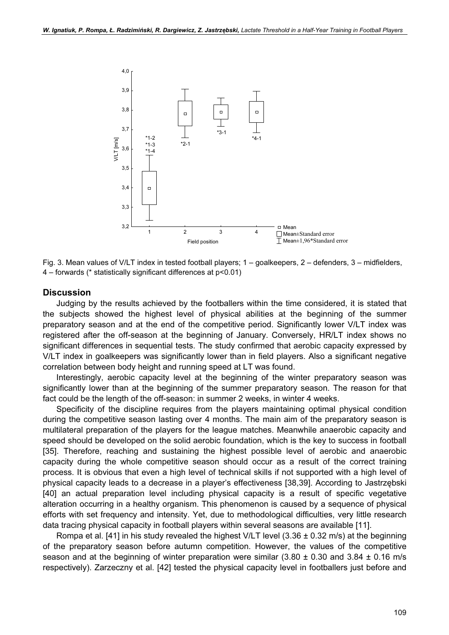

Fig. 3. Mean values of V/LT index in tested football players; 1 – goalkeepers, 2 – defenders, 3 – midfielders, 4 – forwards (\* statistically significant differences at p<0.01)

#### **Discussion**

Judging by the results achieved by the footballers within the time considered, it is stated that the subjects showed the highest level of physical abilities at the beginning of the summer preparatory season and at the end of the competitive period. Significantly lower V/LT index was registered after the off-season at the beginning of January. Conversely, HR/LT index shows no significant differences in sequential tests. The study confirmed that aerobic capacity expressed by V/LT index in goalkeepers was significantly lower than in field players. Also a significant negative correlation between body height and running speed at LT was found.

Interestingly, aerobic capacity level at the beginning of the winter preparatory season was significantly lower than at the beginning of the summer preparatory season. The reason for that fact could be the length of the off-season: in summer 2 weeks, in winter 4 weeks.

Specificity of the discipline requires from the players maintaining optimal physical condition during the competitive season lasting over 4 months. The main aim of the preparatory season is multilateral preparation of the players for the league matches. Meanwhile anaerobic capacity and speed should be developed on the solid aerobic foundation, which is the key to success in football [35]. Therefore, reaching and sustaining the highest possible level of aerobic and anaerobic capacity during the whole competitive season should occur as a result of the correct training process. It is obvious that even a high level of technical skills if not supported with a high level of physical capacity leads to a decrease in a player's effectiveness [38,39]. According to Jastrzębski [40] an actual preparation level including physical capacity is a result of specific vegetative alteration occurring in a healthy organism. This phenomenon is caused by a sequence of physical efforts with set frequency and intensity. Yet, due to methodological difficulties, very little research data tracing physical capacity in football players within several seasons are available [11].

Rompa et al. [41] in his study revealed the highest V/LT level  $(3.36 \pm 0.32 \text{ m/s})$  at the beginning of the preparatory season before autumn competition. However, the values of the competitive season and at the beginning of winter preparation were similar  $(3.80 \pm 0.30$  and  $3.84 \pm 0.16$  m/s respectively). Zarzeczny et al. [42] tested the physical capacity level in footballers just before and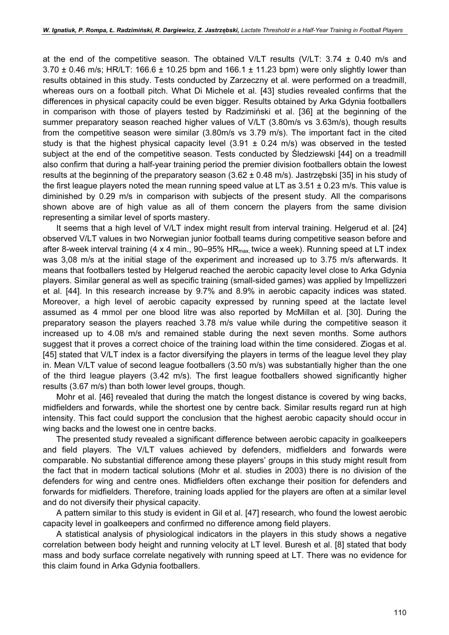at the end of the competitive season. The obtained V/LT results (V/LT:  $3.74 \pm 0.40$  m/s and  $3.70 \pm 0.46$  m/s; HR/LT: 166.6  $\pm$  10.25 bpm and 166.1  $\pm$  11.23 bpm) were only slightly lower than results obtained in this study. Tests conducted by Zarzeczny et al. were performed on a treadmill, whereas ours on a football pitch. What Di Michele et al. [43] studies revealed confirms that the differences in physical capacity could be even bigger. Results obtained by Arka Gdynia footballers in comparison with those of players tested by Radzimiński et al. [36] at the beginning of the summer preparatory season reached higher values of V/LT (3.80m/s vs 3.63m/s), though results from the competitive season were similar (3.80m/s vs 3.79 m/s). The important fact in the cited study is that the highest physical capacity level  $(3.91 \pm 0.24 \text{ m/s})$  was observed in the tested subject at the end of the competitive season. Tests conducted by Śledziewski [44] on a treadmill also confirm that during a half-year training period the premier division footballers obtain the lowest results at the beginning of the preparatory season  $(3.62 \pm 0.48 \text{ m/s})$ . Jastrzębski [35] in his study of the first league players noted the mean running speed value at LT as  $3.51 \pm 0.23$  m/s. This value is diminished by 0.29 m/s in comparison with subjects of the present study. All the comparisons shown above are of high value as all of them concern the players from the same division representing a similar level of sports mastery.

It seems that a high level of V/LT index might result from interval training. Helgerud et al. [24] observed V/LT values in two Norwegian junior football teams during competitive season before and after 8-week interval training (4 x 4 min., 90–95%  $HR_{max}$  twice a week). Running speed at LT index was 3,08 m/s at the initial stage of the experiment and increased up to 3.75 m/s afterwards. It means that footballers tested by Helgerud reached the aerobic capacity level close to Arka Gdynia players. Similar general as well as specific training (small-sided games) was applied by Impellizzeri et al. [44]. In this research increase by 9.7% and 8.9% in aerobic capacity indices was stated. Moreover, a high level of aerobic capacity expressed by running speed at the lactate level assumed as 4 mmol per one blood litre was also reported by McMillan et al. [30]. During the preparatory season the players reached 3.78 m/s value while during the competitive season it increased up to 4.08 m/s and remained stable during the next seven months. Some authors suggest that it proves a correct choice of the training load within the time considered. Ziogas et al. [45] stated that V/LT index is a factor diversifying the players in terms of the league level they play in. Mean V/LT value of second league footballers (3.50 m/s) was substantially higher than the one of the third league players (3.42 m/s). The first league footballers showed significantly higher results (3.67 m/s) than both lower level groups, though.

Mohr et al. [46] revealed that during the match the longest distance is covered by wing backs, midfielders and forwards, while the shortest one by centre back. Similar results regard run at high intensity. This fact could support the conclusion that the highest aerobic capacity should occur in wing backs and the lowest one in centre backs.

The presented study revealed a significant difference between aerobic capacity in goalkeepers and field players. The V/LT values achieved by defenders, midfielders and forwards were comparable. No substantial difference among these players' groups in this study might result from the fact that in modern tactical solutions (Mohr et al. studies in 2003) there is no division of the defenders for wing and centre ones. Midfielders often exchange their position for defenders and forwards for midfielders. Therefore, training loads applied for the players are often at a similar level and do not diversify their physical capacity.

A pattern similar to this study is evident in Gil et al. [47] research, who found the lowest aerobic capacity level in goalkeepers and confirmed no difference among field players.

A statistical analysis of physiological indicators in the players in this study shows a negative correlation between body height and running velocity at LT level. Buresh et al. [8] stated that body mass and body surface correlate negatively with running speed at LT. There was no evidence for this claim found in Arka Gdynia footballers.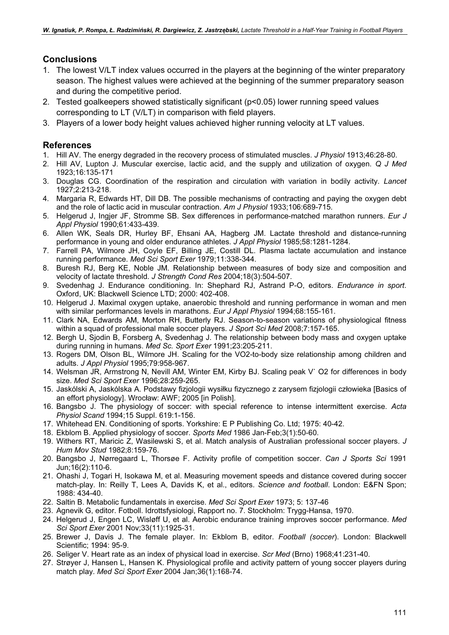## **Conclusions**

- 1. The lowest V/LT index values occurred in the players at the beginning of the winter preparatory season. The highest values were achieved at the beginning of the summer preparatory season and during the competitive period.
- 2. Tested goalkeepers showed statistically significant (p<0.05) lower running speed values corresponding to LT (V/LT) in comparison with field players.
- 3. Players of a lower body height values achieved higher running velocity at LT values.

### References

- 1. Hill AV. The energy degraded in the recovery process of stimulated muscles. J Physiol 1913;46:28-80.
- 2. Hill AV, Lupton J. Muscular exercise, lactic acid, and the supply and utilization of oxygen. Q J Med 1923;16:135-171
- 3. Douglas CG. Coordination of the respiration and circulation with variation in bodily activity. Lancet 1927;2:213-218.
- 4. Margaria R, Edwards HT, Dill DB. The possible mechanisms of contracting and paying the oxygen debt and the role of lactic acid in muscular contraction. Am J Physiol 1933;106:689-715.
- 5. Helgerud J, Ingjer JF, Stromme SB. Sex differences in performance-matched marathon runners. Eur J Appl Physiol 1990;61:433-439.
- 6. Allen WK, Seals DR, Hurley BF, Ehsani AA, Hagberg JM. Lactate threshold and distance-running performance in young and older endurance athletes. J Appl Physiol 1985;58:1281-1284.
- 7. Farrell PA, Wilmore JH, Coyle EF, Billing JE, Costill DL. Plasma lactate accumulation and instance running performance. Med Sci Sport Exer 1979;11:338-344.
- 8. Buresh RJ, Berg KE, Noble JM. Relationship between measures of body size and composition and velocity of lactate threshold. J Strength Cond Res 2004;18(3):504-507.
- 9. Svedenhag J. Endurance conditioning. In: Shephard RJ, Astrand P-O, editors. Endurance in sport. Oxford, UK: Blackwell Science LTD; 2000: 402-408.
- 10. Helgerud J. Maximal oxygen uptake, anaerobic threshold and running performance in woman and men with similar performances levels in marathons. Eur J Appl Physiol 1994;68:155-161.
- 11. Clark NA, Edwards AM, Morton RH, Butterly RJ. Season-to-season variations of physiological fitness within a squad of professional male soccer players. J Sport Sci Med 2008;7:157-165.
- 12. Bergh U, Sjodin B, Forsberg A, Svedenhag J. The relationship between body mass and oxygen uptake during running in humans. Med Sc. Sport Exer 1991;23:205-211.
- 13. Rogers DM, Olson BL, Wilmore JH. Scaling for the VO2-to-body size relationship among children and adults. J Appl Physiol 1995;79:958-967.
- 14. Welsman JR, Armstrong N, Nevill AM, Winter EM, Kirby BJ. Scaling peak V˙ O2 for differences in body size. Med Sci Sport Exer 1996;28:259-265.
- 15. Jaskólski A, Jaskólska A. Podstawy fizjologii wysiłku fizycznego z zarysem fizjologii człowieka [Basics of an effort physiology]. Wrocław: AWF; 2005 [in Polish].
- 16. Bangsbo J. The physiology of soccer: with special reference to intense intermittent exercise. Acta Physiol Scand 1994;15 Suppl. 619:1-156.
- 17. Whitehead EN. Conditioning of sports. Yorkshire: E P Publishing Co. Ltd; 1975: 40-42.
- 18. Ekblom B. Applied physiology of soccer. Sports Med 1986 Jan-Feb;3(1):50-60.
- 19. Withers RT, Maricic Z, Wasilewski S, et al. Match analysis of Australian professional soccer players. J Hum Mov Stud 1982;8:159-76.
- 20. Bangsbo J, Nørregaard L, Thorsøe F. Activity profile of competition soccer. Can J Sports Sci 1991 Jun;16(2):110-6.
- 21. Ohashi J, Togari H, Isokawa M, et al. Measuring movement speeds and distance covered during soccer match-play. In: Reilly T, Lees A, Davids K, et al., editors. Science and football. London: E&FN Spon; 1988: 434-40.
- 22. Saltin B. Metabolic fundamentals in exercise. Med Sci Sport Exer 1973; 5: 137-46
- 23. Agnevik G, editor. Fotboll. Idrottsfysiologi, Rapport no. 7. Stockholm: Trygg-Hansa, 1970.
- 24. Helgerud J, Engen LC, Wisløff U, et al. Aerobic endurance training improves soccer performance. Med Sci Sport Exer 2001 Nov;33(11):1925-31.
- 25. Brewer J, Davis J. The female player. In: Ekblom B, editor. Football (soccer). London: Blackwell Scientific; 1994: 95-9.
- 26. Seliger V. Heart rate as an index of physical load in exercise. Scr Med (Brno) 1968;41:231-40.
- 27. Strøyer J, Hansen L, Hansen K. Physiological profile and activity pattern of young soccer players during match play. Med Sci Sport Exer 2004 Jan;36(1):168-74.